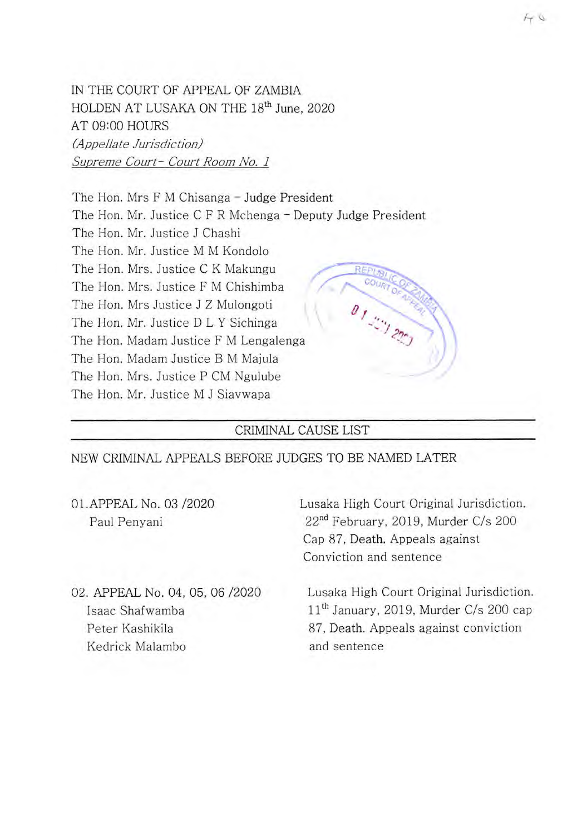IN THE COURT OF APPEAL OF ZAMBIA HOLDEN AT LUSAKA ON THE **18th** June, 2020 AT 09:00 HOURS *(Appellate Jurisdiction) Supreme Court- Court Room No. 1* 

The Hon. Mrs F M Chisanga - Judge President The Hon. Mr. Justice C F R Mchenga – Deputy Judge President The Hon. Mr. Justice J Chashi The Hon. Mr. Justice M M Kondolo The Hon. Mrs. Justice C K Makungu The Hon. Mrs. Justice F M Chishimba The Hon. Mrs Justice J Z Mulongoti The Hon. Mr. Justice D L Y Sichinga The Hon. Madam Justice F M Lengalenga The Hon. Madam Justice B M Majula The Hon. Mrs. Justice P CM Ngulube The Hon. Mr. Justice M J Siavwapa

## CRIMINAL CAUSE LIST

NEW CRIMINAL APPEALS BEFORE JUDGES TO BE NAMED LATER

01. APPEAL No. 03 /2020 Lusaka High Court Original Jurisdiction.

Paul Penyani 22<sup>nd</sup> February, 2019, Murder C/s 200 Cap 87, Death. Appeals against Conviction and sentence

Kedrick Malambo and sentence

02. APPEAL No. 04, 05, 06 /2020 Lusaka High Court Original Jurisdiction. Isaac Shafwamba **11th** January, 2019, Murder C/s 200 cap Peter Kashikila **87**, Death. Appeals against conviction